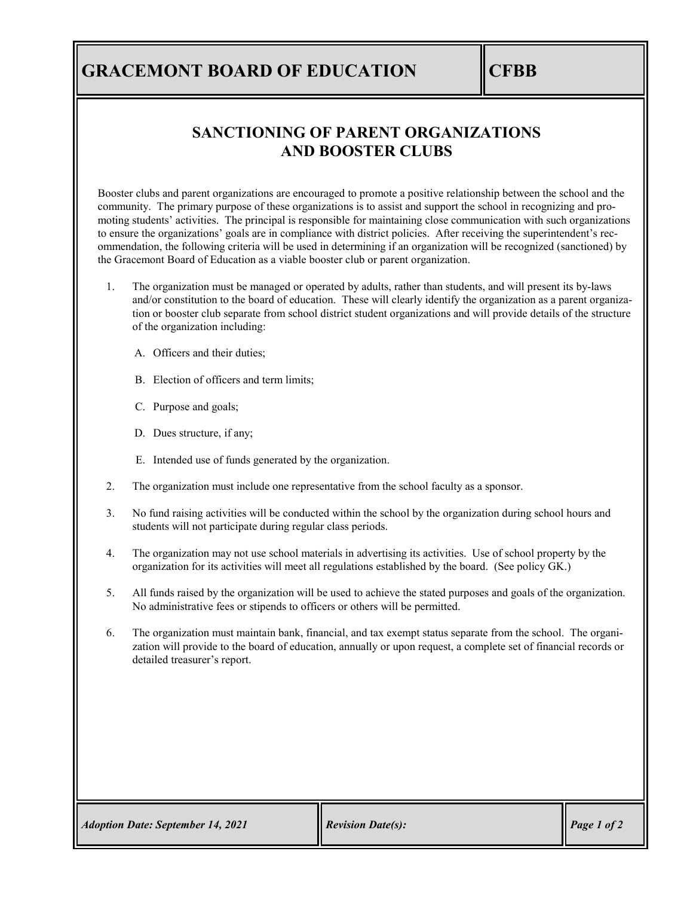### **GRACEMONT BOARD OF EDUCATION ICFBB**

#### **SANCTIONING OF PARENT ORGANIZATIONS AND BOOSTER CLUBS**

Booster clubs and parent organizations are encouraged to promote a positive relationship between the school and the community. The primary purpose of these organizations is to assist and support the school in recognizing and promoting students' activities. The principal is responsible for maintaining close communication with such organizations to ensure the organizations' goals are in compliance with district policies. After receiving the superintendent's recommendation, the following criteria will be used in determining if an organization will be recognized (sanctioned) by the Gracemont Board of Education as a viable booster club or parent organization.

- 1. The organization must be managed or operated by adults, rather than students, and will present its by-laws and/or constitution to the board of education. These will clearly identify the organization as a parent organization or booster club separate from school district student organizations and will provide details of the structure of the organization including:
	- A. Officers and their duties;
	- B. Election of officers and term limits;
	- C. Purpose and goals;
	- D. Dues structure, if any;
	- E. Intended use of funds generated by the organization.
- 2. The organization must include one representative from the school faculty as a sponsor.
- 3. No fund raising activities will be conducted within the school by the organization during school hours and students will not participate during regular class periods.
- 4. The organization may not use school materials in advertising its activities. Use of school property by the organization for its activities will meet all regulations established by the board. (See policy GK.)
- 5. All funds raised by the organization will be used to achieve the stated purposes and goals of the organization. No administrative fees or stipends to officers or others will be permitted.
- 6. The organization must maintain bank, financial, and tax exempt status separate from the school. The organization will provide to the board of education, annually or upon request, a complete set of financial records or detailed treasurer's report.